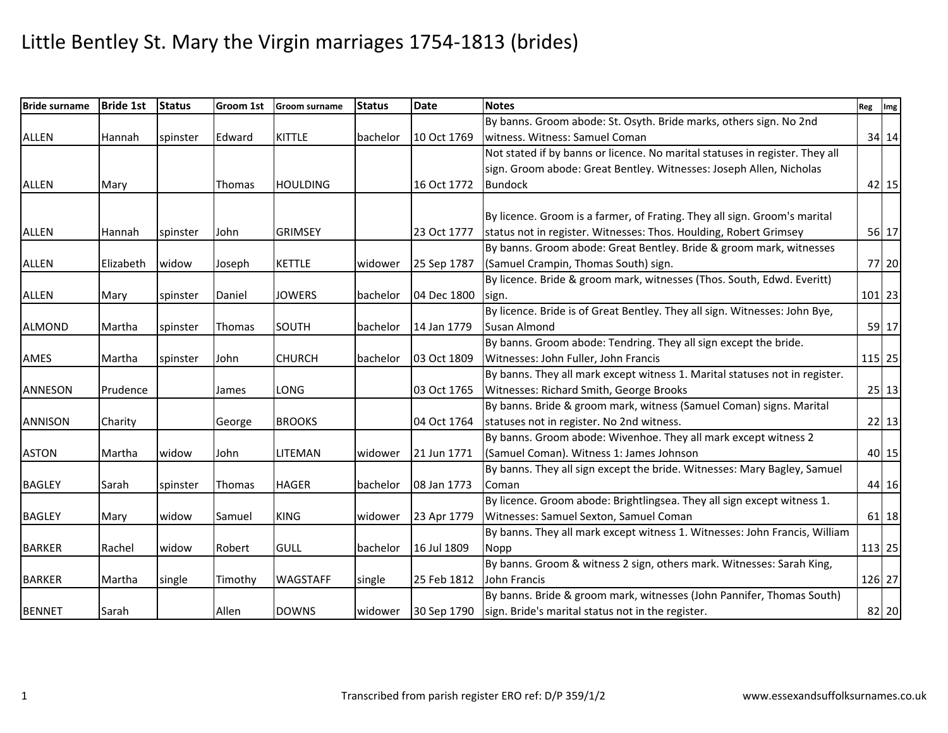| <b>Bride surname</b> | <b>Bride 1st</b> | <b>Status</b> | Groom 1st | <b>Groom surname</b> | <b>Status</b> | <b>Date</b> | <b>Notes</b>                                                                 | Reg Img |
|----------------------|------------------|---------------|-----------|----------------------|---------------|-------------|------------------------------------------------------------------------------|---------|
|                      |                  |               |           |                      |               |             | By banns. Groom abode: St. Osyth. Bride marks, others sign. No 2nd           |         |
| <b>ALLEN</b>         | Hannah           | spinster      | Edward    | <b>KITTLE</b>        | bachelor      | 10 Oct 1769 | witness. Witness: Samuel Coman                                               | 34 14   |
|                      |                  |               |           |                      |               |             | Not stated if by banns or licence. No marital statuses in register. They all |         |
|                      |                  |               |           |                      |               |             | sign. Groom abode: Great Bentley. Witnesses: Joseph Allen, Nicholas          |         |
| <b>ALLEN</b>         | Mary             |               | Thomas    | <b>HOULDING</b>      |               | 16 Oct 1772 | <b>Bundock</b>                                                               | $42$ 15 |
|                      |                  |               |           |                      |               |             | By licence. Groom is a farmer, of Frating. They all sign. Groom's marital    |         |
| <b>ALLEN</b>         | Hannah           | spinster      | John      | <b>GRIMSEY</b>       |               | 23 Oct 1777 | status not in register. Witnesses: Thos. Houlding, Robert Grimsey            | 56 17   |
|                      |                  |               |           |                      |               |             | By banns. Groom abode: Great Bentley. Bride & groom mark, witnesses          |         |
| <b>ALLEN</b>         | Elizabeth        | widow         |           | <b>KETTLE</b>        | widower       | 25 Sep 1787 | (Samuel Crampin, Thomas South) sign.                                         | 77 20   |
|                      |                  |               | Joseph    |                      |               |             | By licence. Bride & groom mark, witnesses (Thos. South, Edwd. Everitt)       |         |
| <b>ALLEN</b>         | Mary             | spinster      | Daniel    | <b>JOWERS</b>        | bachelor      | 04 Dec 1800 | sign.                                                                        | 101 23  |
|                      |                  |               |           |                      |               |             | By licence. Bride is of Great Bentley. They all sign. Witnesses: John Bye,   |         |
| <b>ALMOND</b>        | Martha           | spinster      | Thomas    | SOUTH                | bachelor      | 14 Jan 1779 | Susan Almond                                                                 | 59 17   |
|                      |                  |               |           |                      |               |             | By banns. Groom abode: Tendring. They all sign except the bride.             |         |
| AMES                 | Martha           | spinster      | John      | <b>CHURCH</b>        | bachelor      | 03 Oct 1809 | Witnesses: John Fuller, John Francis                                         | 115 25  |
|                      |                  |               |           |                      |               |             | By banns. They all mark except witness 1. Marital statuses not in register.  |         |
| <b>ANNESON</b>       | Prudence         |               | James     | <b>LONG</b>          |               | 03 Oct 1765 | Witnesses: Richard Smith, George Brooks                                      | 25 13   |
|                      |                  |               |           |                      |               |             | By banns. Bride & groom mark, witness (Samuel Coman) signs. Marital          |         |
| <b>ANNISON</b>       | Charity          |               | George    | <b>BROOKS</b>        |               | 04 Oct 1764 | statuses not in register. No 2nd witness.                                    | 22 13   |
|                      |                  |               |           |                      |               |             | By banns. Groom abode: Wivenhoe. They all mark except witness 2              |         |
| <b>ASTON</b>         | Martha           | widow         | John      | <b>LITEMAN</b>       | widower       | 21 Jun 1771 | (Samuel Coman). Witness 1: James Johnson                                     | 40 15   |
|                      |                  |               |           |                      |               |             | By banns. They all sign except the bride. Witnesses: Mary Bagley, Samuel     |         |
| <b>BAGLEY</b>        | Sarah            | spinster      | Thomas    | <b>HAGER</b>         | bachelor      | 08 Jan 1773 | Coman                                                                        | 44 16   |
|                      |                  |               |           |                      |               |             | By licence. Groom abode: Brightlingsea. They all sign except witness 1.      |         |
| <b>BAGLEY</b>        | Mary             | widow         | Samuel    | <b>KING</b>          | widower       | 23 Apr 1779 | Witnesses: Samuel Sexton, Samuel Coman                                       | 61 18   |
|                      |                  |               |           |                      |               |             | By banns. They all mark except witness 1. Witnesses: John Francis, William   |         |
| <b>BARKER</b>        | Rachel           | widow         | Robert    | <b>GULL</b>          | bachelor      | 16 Jul 1809 | <b>Nopp</b>                                                                  | 113 25  |
|                      |                  |               |           |                      |               |             | By banns. Groom & witness 2 sign, others mark. Witnesses: Sarah King,        |         |
| <b>BARKER</b>        | Martha           | single        | Timothy   | <b>WAGSTAFF</b>      | single        | 25 Feb 1812 | John Francis                                                                 | 126 27  |
|                      |                  |               |           |                      |               |             | By banns. Bride & groom mark, witnesses (John Pannifer, Thomas South)        |         |
| <b>BENNET</b>        | Sarah            |               | Allen     | <b>DOWNS</b>         | widower       | 30 Sep 1790 | sign. Bride's marital status not in the register.                            | 82 20   |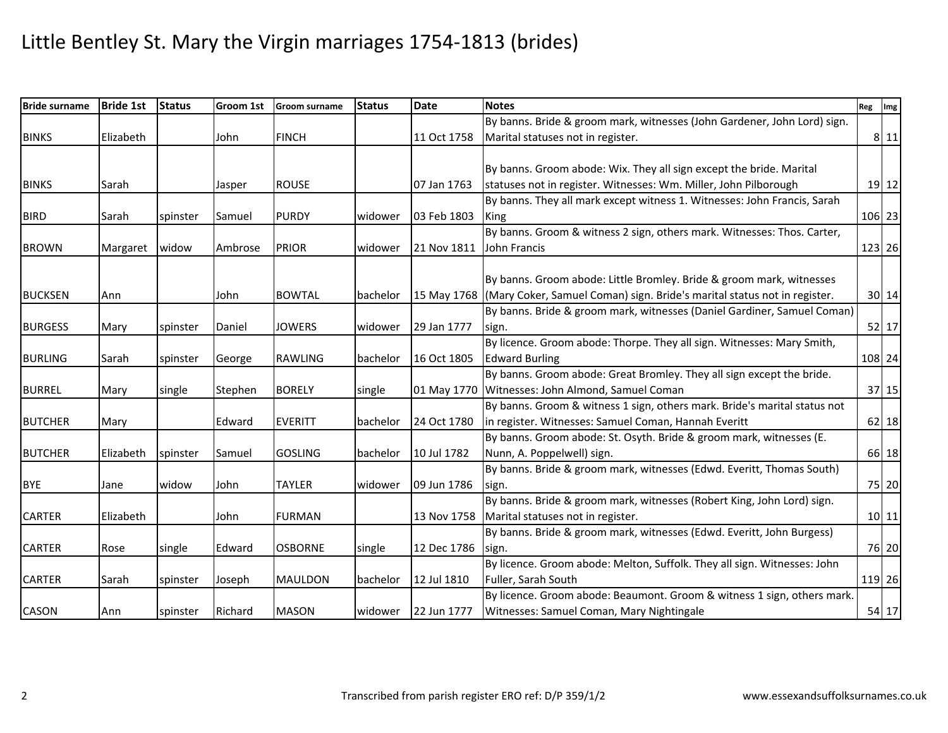| <b>Bride surname</b> | <b>Bride 1st</b> | <b>Status</b> | <b>Groom 1st</b> | <b>Groom surname</b> | <b>Status</b> | <b>Date</b> | <b>Notes</b>                                                                         | Reg Img |           |
|----------------------|------------------|---------------|------------------|----------------------|---------------|-------------|--------------------------------------------------------------------------------------|---------|-----------|
|                      |                  |               |                  |                      |               |             | By banns. Bride & groom mark, witnesses (John Gardener, John Lord) sign.             |         |           |
| <b>BINKS</b>         | Elizabeth        |               | John             | <b>FINCH</b>         |               | 11 Oct 1758 | Marital statuses not in register.                                                    |         | 8 11      |
|                      |                  |               |                  |                      |               |             |                                                                                      |         |           |
|                      |                  |               |                  |                      |               |             | By banns. Groom abode: Wix. They all sign except the bride. Marital                  |         |           |
| <b>BINKS</b>         | Sarah            |               | Jasper           | <b>ROUSE</b>         |               | 07 Jan 1763 | statuses not in register. Witnesses: Wm. Miller, John Pilborough                     |         | $19$   12 |
|                      |                  |               |                  |                      |               |             | By banns. They all mark except witness 1. Witnesses: John Francis, Sarah             |         |           |
| <b>BIRD</b>          | Sarah            | spinster      | Samuel           | <b>PURDY</b>         | widower       | 03 Feb 1803 | <b>King</b>                                                                          |         | 106 23    |
|                      |                  |               |                  |                      |               |             | By banns. Groom & witness 2 sign, others mark. Witnesses: Thos. Carter,              |         |           |
| <b>BROWN</b>         | Margaret         | widow         | Ambrose          | <b>PRIOR</b>         | widower       | 21 Nov 1811 | John Francis                                                                         |         | 123 26    |
|                      |                  |               |                  |                      |               |             |                                                                                      |         |           |
|                      |                  |               |                  |                      |               |             | By banns. Groom abode: Little Bromley. Bride & groom mark, witnesses                 |         |           |
| <b>BUCKSEN</b>       | Ann              |               | John             | <b>BOWTAL</b>        | bachelor      |             | 15 May 1768 (Mary Coker, Samuel Coman) sign. Bride's marital status not in register. |         | 30 14     |
|                      |                  |               |                  |                      |               |             | By banns. Bride & groom mark, witnesses (Daniel Gardiner, Samuel Coman)              |         |           |
| <b>BURGESS</b>       | Mary             | spinster      | Daniel           | <b>JOWERS</b>        | widower       | 29 Jan 1777 | sign.                                                                                |         | 52 17     |
|                      |                  |               |                  |                      |               |             | By licence. Groom abode: Thorpe. They all sign. Witnesses: Mary Smith,               |         |           |
| <b>BURLING</b>       | Sarah            | spinster      | George           | <b>RAWLING</b>       | bachelor      | 16 Oct 1805 | <b>Edward Burling</b>                                                                |         | 108 24    |
|                      |                  |               |                  |                      |               |             | By banns. Groom abode: Great Bromley. They all sign except the bride.                |         |           |
| <b>BURREL</b>        | Mary             | single        | Stephen          | <b>BORELY</b>        | single        | 01 May 1770 | Witnesses: John Almond, Samuel Coman                                                 |         | $37   15$ |
|                      |                  |               |                  |                      |               |             | By banns. Groom & witness 1 sign, others mark. Bride's marital status not            |         |           |
| <b>BUTCHER</b>       | Mary             |               | Edward           | <b>EVERITT</b>       | bachelor      | 24 Oct 1780 | in register. Witnesses: Samuel Coman, Hannah Everitt                                 |         | $62$   18 |
|                      |                  |               |                  |                      |               |             | By banns. Groom abode: St. Osyth. Bride & groom mark, witnesses (E.                  |         |           |
| <b>BUTCHER</b>       | Elizabeth        | spinster      | Samuel           | <b>GOSLING</b>       | bachelor      | 10 Jul 1782 | Nunn, A. Poppelwell) sign.                                                           |         | 66 18     |
|                      |                  |               |                  |                      |               |             | By banns. Bride & groom mark, witnesses (Edwd. Everitt, Thomas South)                |         |           |
| <b>BYE</b>           | Jane             | widow         | John             | <b>TAYLER</b>        | widower       | 09 Jun 1786 | sign.                                                                                |         | 75 20     |
|                      |                  |               |                  |                      |               |             | By banns. Bride & groom mark, witnesses (Robert King, John Lord) sign.               |         |           |
| <b>CARTER</b>        | Elizabeth        |               | John             | <b>FURMAN</b>        |               | 13 Nov 1758 | Marital statuses not in register.                                                    |         | 10 11     |
|                      |                  |               |                  |                      |               |             | By banns. Bride & groom mark, witnesses (Edwd. Everitt, John Burgess)                |         |           |
| <b>CARTER</b>        | Rose             | single        | Edward           | <b>OSBORNE</b>       | single        | 12 Dec 1786 | sign.                                                                                |         | 76 20     |
|                      |                  |               |                  |                      |               |             | By licence. Groom abode: Melton, Suffolk. They all sign. Witnesses: John             |         |           |
| <b>CARTER</b>        | Sarah            | spinster      | Joseph           | <b>MAULDON</b>       | bachelor      | 12 Jul 1810 | Fuller, Sarah South                                                                  |         | 119 26    |
|                      |                  |               |                  |                      |               |             | By licence. Groom abode: Beaumont. Groom & witness 1 sign, others mark.              |         |           |
| <b>CASON</b>         | Ann              | spinster      | Richard          | <b>MASON</b>         | widower       | 22 Jun 1777 | Witnesses: Samuel Coman, Mary Nightingale                                            |         | 54 17     |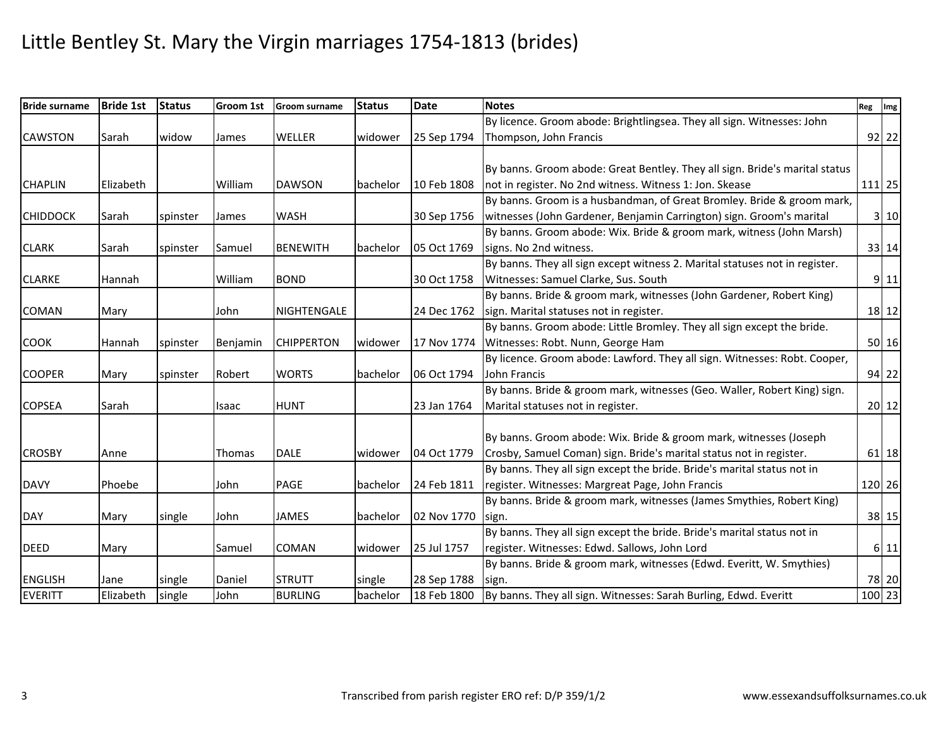| <b>Bride surname</b> | <b>Bride 1st</b> | <b>Status</b> | Groom 1st | <b>Groom surname</b> | <b>Status</b> | <b>Date</b> | <b>Notes</b>                                                                | Reg Img |         |
|----------------------|------------------|---------------|-----------|----------------------|---------------|-------------|-----------------------------------------------------------------------------|---------|---------|
|                      |                  |               |           |                      |               |             | By licence. Groom abode: Brightlingsea. They all sign. Witnesses: John      |         |         |
| <b>CAWSTON</b>       | Sarah            | widow         | James     | <b>WELLER</b>        | widower       | 25 Sep 1794 | Thompson, John Francis                                                      |         | $92$ 22 |
|                      |                  |               |           |                      |               |             |                                                                             |         |         |
|                      |                  |               |           |                      |               |             | By banns. Groom abode: Great Bentley. They all sign. Bride's marital status |         |         |
| <b>CHAPLIN</b>       | Elizabeth        |               | William   | <b>DAWSON</b>        | bachelor      | 10 Feb 1808 | not in register. No 2nd witness. Witness 1: Jon. Skease                     |         | 111 25  |
|                      |                  |               |           |                      |               |             | By banns. Groom is a husbandman, of Great Bromley. Bride & groom mark,      |         |         |
| <b>CHIDDOCK</b>      | Sarah            | spinster      | James     | <b>WASH</b>          |               | 30 Sep 1756 | witnesses (John Gardener, Benjamin Carrington) sign. Groom's marital        |         | 3 10    |
|                      |                  |               |           |                      |               |             | By banns. Groom abode: Wix. Bride & groom mark, witness (John Marsh)        |         |         |
| <b>CLARK</b>         | Sarah            | spinster      | Samuel    | <b>BENEWITH</b>      | bachelor      | 05 Oct 1769 | signs. No 2nd witness.                                                      |         | 33 14   |
|                      |                  |               |           |                      |               |             | By banns. They all sign except witness 2. Marital statuses not in register. |         |         |
| <b>CLARKE</b>        | Hannah           |               | William   | <b>BOND</b>          |               | 30 Oct 1758 | Witnesses: Samuel Clarke, Sus. South                                        |         | 9 11    |
|                      |                  |               |           |                      |               |             | By banns. Bride & groom mark, witnesses (John Gardener, Robert King)        |         |         |
| <b>COMAN</b>         | Mary             |               | John      | NIGHTENGALE          |               | 24 Dec 1762 | sign. Marital statuses not in register.                                     |         | 18 12   |
|                      |                  |               |           |                      |               |             | By banns. Groom abode: Little Bromley. They all sign except the bride.      |         |         |
| <b>COOK</b>          | Hannah           | spinster      | Benjamin  | <b>CHIPPERTON</b>    | widower       | 17 Nov 1774 | Witnesses: Robt. Nunn, George Ham                                           |         | 50 16   |
|                      |                  |               |           |                      |               |             | By licence. Groom abode: Lawford. They all sign. Witnesses: Robt. Cooper,   |         |         |
| <b>COOPER</b>        | Mary             | spinster      | Robert    | <b>WORTS</b>         | bachelor      | 06 Oct 1794 | John Francis                                                                |         | 94 22   |
|                      |                  |               |           |                      |               |             | By banns. Bride & groom mark, witnesses (Geo. Waller, Robert King) sign.    |         |         |
| <b>COPSEA</b>        | Sarah            |               | Isaac     | <b>HUNT</b>          |               | 23 Jan 1764 | Marital statuses not in register.                                           |         | 20 12   |
|                      |                  |               |           |                      |               |             |                                                                             |         |         |
|                      |                  |               |           |                      |               |             | By banns. Groom abode: Wix. Bride & groom mark, witnesses (Joseph           |         |         |
| <b>CROSBY</b>        | Anne             |               | Thomas    | <b>DALE</b>          | widower       | 04 Oct 1779 | Crosby, Samuel Coman) sign. Bride's marital status not in register.         |         | 61 18   |
|                      |                  |               |           |                      |               |             | By banns. They all sign except the bride. Bride's marital status not in     |         |         |
| <b>DAVY</b>          | Phoebe           |               | John      | <b>PAGE</b>          | bachelor      | 24 Feb 1811 | register. Witnesses: Margreat Page, John Francis                            |         | 120 26  |
|                      |                  |               |           |                      |               |             | By banns. Bride & groom mark, witnesses (James Smythies, Robert King)       |         |         |
| <b>DAY</b>           | Mary             | single        | John      | <b>JAMES</b>         | bachelor      | 02 Nov 1770 | sign.                                                                       |         | 38 15   |
|                      |                  |               |           |                      |               |             | By banns. They all sign except the bride. Bride's marital status not in     |         |         |
| <b>DEED</b>          | Mary             |               | Samuel    | <b>COMAN</b>         | widower       | 25 Jul 1757 | register. Witnesses: Edwd. Sallows, John Lord                               |         | 6 11    |
|                      |                  |               |           |                      |               |             | By banns. Bride & groom mark, witnesses (Edwd. Everitt, W. Smythies)        |         |         |
| <b>ENGLISH</b>       | Jane             | single        | Daniel    | <b>STRUTT</b>        | single        | 28 Sep 1788 | sign.                                                                       |         | 78 20   |
| <b>EVERITT</b>       | Elizabeth        | single        | John      | <b>BURLING</b>       | bachelor      | 18 Feb 1800 | By banns. They all sign. Witnesses: Sarah Burling, Edwd. Everitt            |         | 100 23  |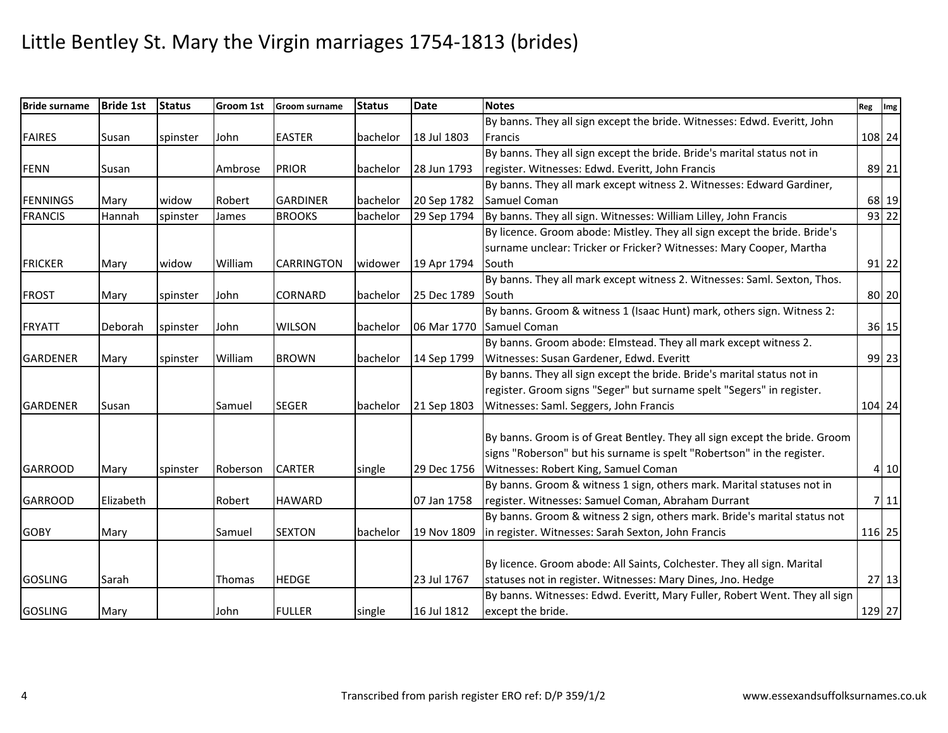| <b>Bride surname</b> | <b>Bride 1st</b> | <b>Status</b> | Groom 1st     | <b>Groom surname</b> | <b>Status</b> | <b>Date</b> | <b>Notes</b>                                                                | Reg Img |        |
|----------------------|------------------|---------------|---------------|----------------------|---------------|-------------|-----------------------------------------------------------------------------|---------|--------|
|                      |                  |               |               |                      |               |             | By banns. They all sign except the bride. Witnesses: Edwd. Everitt, John    |         |        |
| <b>FAIRES</b>        | Susan            | spinster      | John          | <b>EASTER</b>        | bachelor      | 18 Jul 1803 | Francis                                                                     |         | 108 24 |
|                      |                  |               |               |                      |               |             | By banns. They all sign except the bride. Bride's marital status not in     |         |        |
| <b>FENN</b>          | Susan            |               | Ambrose       | <b>PRIOR</b>         | bachelor      | 28 Jun 1793 | register. Witnesses: Edwd. Everitt, John Francis                            |         | 89 21  |
|                      |                  |               |               |                      |               |             | By banns. They all mark except witness 2. Witnesses: Edward Gardiner,       |         |        |
| <b>FENNINGS</b>      | Mary             | widow         | Robert        | <b>GARDINER</b>      | bachelor      | 20 Sep 1782 | Samuel Coman                                                                |         | 68 19  |
| <b>FRANCIS</b>       | Hannah           | spinster      | James         | <b>BROOKS</b>        | bachelor      | 29 Sep 1794 | By banns. They all sign. Witnesses: William Lilley, John Francis            |         | 93 22  |
|                      |                  |               |               |                      |               |             | By licence. Groom abode: Mistley. They all sign except the bride. Bride's   |         |        |
|                      |                  |               |               |                      |               |             | surname unclear: Tricker or Fricker? Witnesses: Mary Cooper, Martha         |         |        |
| <b>FRICKER</b>       | Mary             | widow         | William       | <b>CARRINGTON</b>    | widower       | 19 Apr 1794 | South                                                                       |         | 91 22  |
|                      |                  |               |               |                      |               |             | By banns. They all mark except witness 2. Witnesses: Saml. Sexton, Thos.    |         |        |
| <b>FROST</b>         | Mary             | spinster      | John          | <b>CORNARD</b>       | bachelor      | 25 Dec 1789 | South                                                                       |         | 80 20  |
|                      |                  |               |               |                      |               |             | By banns. Groom & witness 1 (Isaac Hunt) mark, others sign. Witness 2:      |         |        |
| <b>FRYATT</b>        | Deborah          | spinster      | John          | <b>WILSON</b>        | bachelor      | 06 Mar 1770 | Samuel Coman                                                                |         | 36 15  |
|                      |                  |               |               |                      |               |             | By banns. Groom abode: Elmstead. They all mark except witness 2.            |         |        |
| <b>GARDENER</b>      | Mary             | spinster      | William       | <b>BROWN</b>         | bachelor      | 14 Sep 1799 | Witnesses: Susan Gardener, Edwd. Everitt                                    |         | 99 23  |
|                      |                  |               |               |                      |               |             | By banns. They all sign except the bride. Bride's marital status not in     |         |        |
|                      |                  |               |               |                      |               |             | register. Groom signs "Seger" but surname spelt "Segers" in register.       |         |        |
| <b>GARDENER</b>      | Susan            |               | Samuel        | <b>SEGER</b>         | bachelor      | 21 Sep 1803 | Witnesses: Saml. Seggers, John Francis                                      |         | 104 24 |
|                      |                  |               |               |                      |               |             |                                                                             |         |        |
|                      |                  |               |               |                      |               |             | By banns. Groom is of Great Bentley. They all sign except the bride. Groom  |         |        |
|                      |                  |               |               |                      |               |             | signs "Roberson" but his surname is spelt "Robertson" in the register.      |         |        |
| <b>GARROOD</b>       | Mary             | spinster      | Roberson      | <b>CARTER</b>        | single        | 29 Dec 1756 | Witnesses: Robert King, Samuel Coman                                        |         | 4 10   |
|                      |                  |               |               |                      |               |             | By banns. Groom & witness 1 sign, others mark. Marital statuses not in      |         |        |
| <b>GARROOD</b>       | Elizabeth        |               | Robert        | <b>HAWARD</b>        |               | 07 Jan 1758 | register. Witnesses: Samuel Coman, Abraham Durrant                          |         | 711    |
|                      |                  |               |               |                      |               |             | By banns. Groom & witness 2 sign, others mark. Bride's marital status not   |         |        |
| <b>GOBY</b>          | Mary             |               | Samuel        | <b>SEXTON</b>        | bachelor      | 19 Nov 1809 | in register. Witnesses: Sarah Sexton, John Francis                          |         | 116 25 |
|                      |                  |               |               |                      |               |             |                                                                             |         |        |
|                      |                  |               |               |                      |               |             | By licence. Groom abode: All Saints, Colchester. They all sign. Marital     |         |        |
| <b>GOSLING</b>       | Sarah            |               | <b>Thomas</b> | <b>HEDGE</b>         |               | 23 Jul 1767 | statuses not in register. Witnesses: Mary Dines, Jno. Hedge                 |         | 27 13  |
|                      |                  |               |               |                      |               |             | By banns. Witnesses: Edwd. Everitt, Mary Fuller, Robert Went. They all sign |         |        |
| <b>GOSLING</b>       | Mary             |               | John          | <b>FULLER</b>        | single        | 16 Jul 1812 | except the bride.                                                           |         | 129 27 |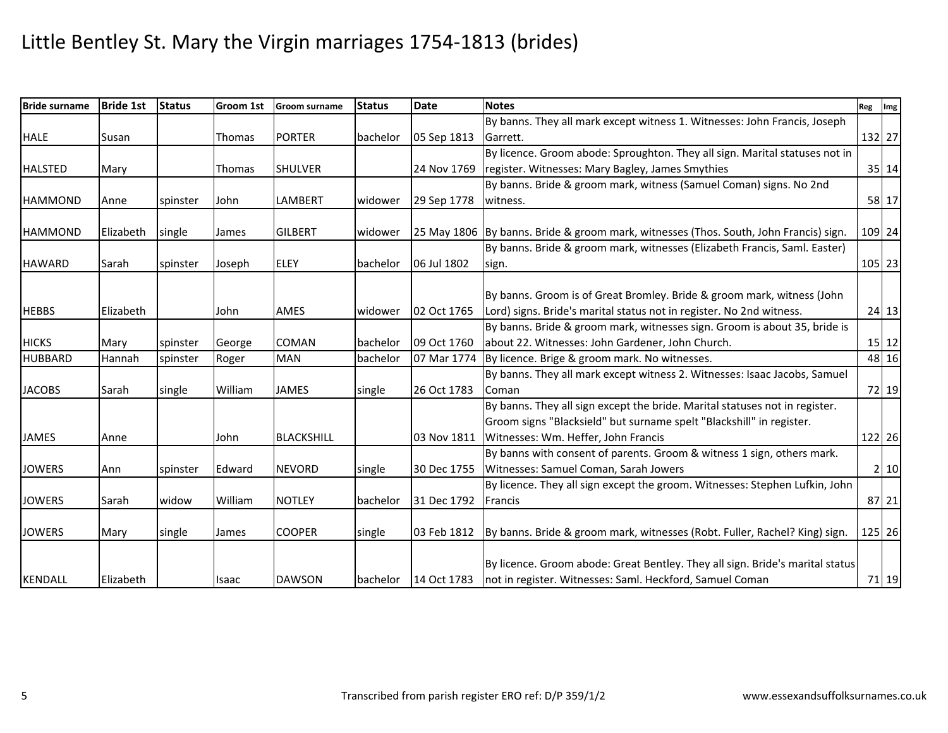| <b>Bride surname</b> | <b>Bride 1st</b> | <b>Status</b> | Groom 1st | <b>Groom surname</b> | <b>Status</b> | <b>Date</b> | <b>Notes</b>                                                                                                                                        | Reg Img |           |
|----------------------|------------------|---------------|-----------|----------------------|---------------|-------------|-----------------------------------------------------------------------------------------------------------------------------------------------------|---------|-----------|
|                      |                  |               |           |                      |               |             | By banns. They all mark except witness 1. Witnesses: John Francis, Joseph                                                                           |         |           |
| <b>HALE</b>          | Susan            |               | Thomas    | <b>PORTER</b>        | bachelor      | 05 Sep 1813 | Garrett.                                                                                                                                            |         | 132 27    |
|                      |                  |               |           |                      |               |             | By licence. Groom abode: Sproughton. They all sign. Marital statuses not in                                                                         |         |           |
| <b>HALSTED</b>       | Mary             |               | Thomas    | <b>SHULVER</b>       |               | 24 Nov 1769 | register. Witnesses: Mary Bagley, James Smythies                                                                                                    |         | 35 14     |
|                      |                  |               |           |                      |               |             | By banns. Bride & groom mark, witness (Samuel Coman) signs. No 2nd                                                                                  |         |           |
| <b>HAMMOND</b>       | Anne             | spinster      | John      | LAMBERT              | widower       | 29 Sep 1778 | witness.                                                                                                                                            |         | 58 17     |
| <b>HAMMOND</b>       | Elizabeth        | single        | James     | <b>GILBERT</b>       | widower       |             | 25 May 1806 By banns. Bride & groom mark, witnesses (Thos. South, John Francis) sign.                                                               |         | 109 24    |
|                      |                  |               |           |                      |               |             | By banns. Bride & groom mark, witnesses (Elizabeth Francis, Saml. Easter)                                                                           |         |           |
| <b>HAWARD</b>        | Sarah            | spinster      | Joseph    | <b>ELEY</b>          | bachelor      | 06 Jul 1802 | sign.                                                                                                                                               |         | 105 23    |
| <b>HEBBS</b>         | Elizabeth        |               | John      | AMES                 | widower       | 02 Oct 1765 | By banns. Groom is of Great Bromley. Bride & groom mark, witness (John<br>Lord) signs. Bride's marital status not in register. No 2nd witness.      |         | $24$ 13   |
|                      |                  |               |           |                      |               |             | By banns. Bride & groom mark, witnesses sign. Groom is about 35, bride is                                                                           |         |           |
| <b>HICKS</b>         | Mary             | spinster      | George    | <b>COMAN</b>         | bachelor      | 09 Oct 1760 | about 22. Witnesses: John Gardener, John Church.                                                                                                    |         | $15$   12 |
| <b>HUBBARD</b>       | Hannah           | spinster      | Roger     | <b>MAN</b>           | bachelor      | 07 Mar 1774 | By licence. Brige & groom mark. No witnesses.                                                                                                       |         | 48 16     |
| <b>JACOBS</b>        | Sarah            | single        | William   | <b>JAMES</b>         | single        | 26 Oct 1783 | By banns. They all mark except witness 2. Witnesses: Isaac Jacobs, Samuel<br>Coman                                                                  |         | 72 19     |
|                      |                  |               |           |                      |               |             | By banns. They all sign except the bride. Marital statuses not in register.<br>Groom signs "Blacksield" but surname spelt "Blackshill" in register. |         |           |
| <b>JAMES</b>         | Anne             |               | John      | <b>BLACKSHILL</b>    |               | 03 Nov 1811 | Witnesses: Wm. Heffer, John Francis                                                                                                                 |         | 122 26    |
| <b>JOWERS</b>        | Ann              | spinster      | Edward    | <b>NEVORD</b>        | single        | 30 Dec 1755 | By banns with consent of parents. Groom & witness 1 sign, others mark.<br>Witnesses: Samuel Coman, Sarah Jowers                                     |         | 2 10      |
|                      |                  |               |           |                      |               |             | By licence. They all sign except the groom. Witnesses: Stephen Lufkin, John                                                                         |         |           |
| <b>JOWERS</b>        | Sarah            | widow         | William   | <b>NOTLEY</b>        | bachelor      | 31 Dec 1792 | Francis                                                                                                                                             |         | 87 21     |
| <b>JOWERS</b>        | Mary             | single        | James     | <b>COOPER</b>        | single        | 03 Feb 1812 | By banns. Bride & groom mark, witnesses (Robt. Fuller, Rachel? King) sign.                                                                          |         | 125 26    |
| <b>KENDALL</b>       | Elizabeth        |               | Isaac     | <b>DAWSON</b>        | bachelor      | 14 Oct 1783 | By licence. Groom abode: Great Bentley. They all sign. Bride's marital status<br>not in register. Witnesses: Saml. Heckford, Samuel Coman           |         | 71 19     |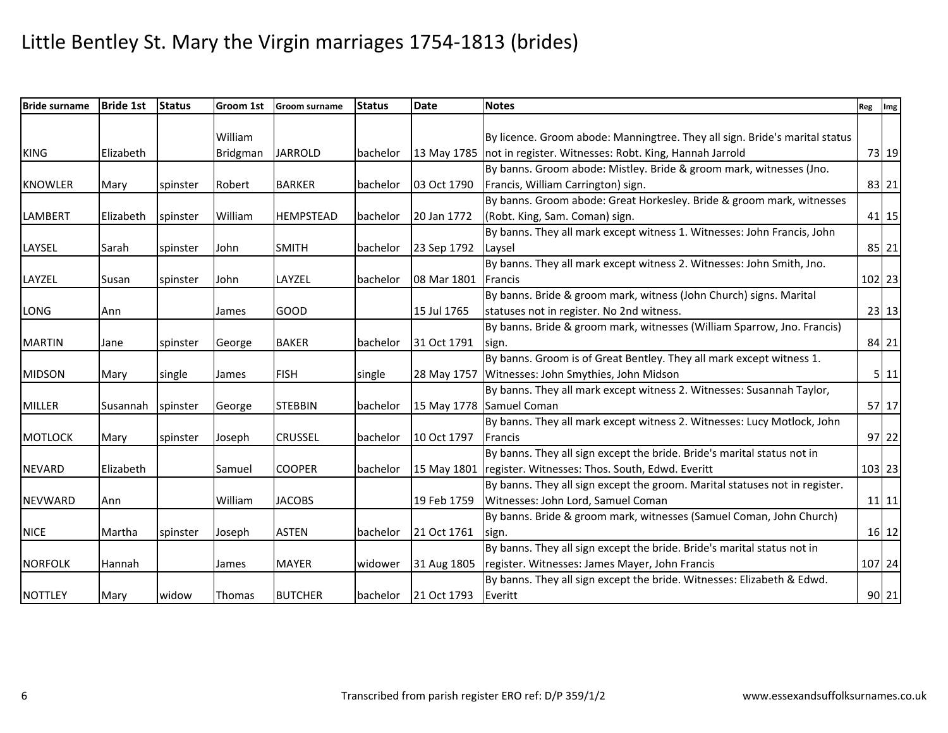| <b>Bride surname</b> | <b>Bride 1st</b> | <b>Status</b> | Groom 1st       | <b>Groom surname</b> | <b>Status</b> | <b>Date</b> | <b>Notes</b>                                                                | Reg Img |           |
|----------------------|------------------|---------------|-----------------|----------------------|---------------|-------------|-----------------------------------------------------------------------------|---------|-----------|
|                      |                  |               |                 |                      |               |             |                                                                             |         |           |
|                      |                  |               | William         |                      |               |             | By licence. Groom abode: Manningtree. They all sign. Bride's marital status |         |           |
| <b>KING</b>          | Elizabeth        |               | <b>Bridgman</b> | <b>JARROLD</b>       | bachelor      |             | 13 May 1785   not in register. Witnesses: Robt. King, Hannah Jarrold        |         | 73 19     |
|                      |                  |               |                 |                      |               |             | By banns. Groom abode: Mistley. Bride & groom mark, witnesses (Jno.         |         |           |
| <b>KNOWLER</b>       | Mary             | spinster      | Robert          | <b>BARKER</b>        | bachelor      | 03 Oct 1790 | Francis, William Carrington) sign.                                          |         | 83 21     |
|                      |                  |               |                 |                      |               |             | By banns. Groom abode: Great Horkesley. Bride & groom mark, witnesses       |         |           |
| <b>LAMBERT</b>       | Elizabeth        | spinster      | William         | <b>HEMPSTEAD</b>     | bachelor      | 20 Jan 1772 | (Robt. King, Sam. Coman) sign.                                              |         | 41 15     |
|                      |                  |               |                 |                      |               |             | By banns. They all mark except witness 1. Witnesses: John Francis, John     |         |           |
| LAYSEL               | Sarah            | spinster      | John            | <b>SMITH</b>         | bachelor      | 23 Sep 1792 | Laysel                                                                      |         | 85 21     |
|                      |                  |               |                 |                      |               |             | By banns. They all mark except witness 2. Witnesses: John Smith, Jno.       |         |           |
| LAYZEL               | Susan            | spinster      | John            | LAYZEL               | bachelor      | 08 Mar 1801 | Francis                                                                     |         | $102$ 23  |
|                      |                  |               |                 |                      |               |             | By banns. Bride & groom mark, witness (John Church) signs. Marital          |         |           |
| LONG                 | Ann              |               | James           | GOOD                 |               | 15 Jul 1765 | statuses not in register. No 2nd witness.                                   |         | $23$ 13   |
|                      |                  |               |                 |                      |               |             | By banns. Bride & groom mark, witnesses (William Sparrow, Jno. Francis)     |         |           |
| <b>MARTIN</b>        | Jane             | spinster      | George          | <b>BAKER</b>         | bachelor      | 31 Oct 1791 | sign.                                                                       |         | 84 21     |
|                      |                  |               |                 |                      |               |             | By banns. Groom is of Great Bentley. They all mark except witness 1.        |         |           |
| <b>MIDSON</b>        | Mary             | single        | James           | <b>FISH</b>          | single        |             | 28 May 1757 Witnesses: John Smythies, John Midson                           |         | 511       |
|                      |                  |               |                 |                      |               |             | By banns. They all mark except witness 2. Witnesses: Susannah Taylor,       |         |           |
| <b>MILLER</b>        | Susannah         | spinster      | George          | <b>STEBBIN</b>       | bachelor      |             | 15 May 1778 Samuel Coman                                                    |         | $57$ 17   |
|                      |                  |               |                 |                      |               |             | By banns. They all mark except witness 2. Witnesses: Lucy Motlock, John     |         |           |
| <b>MOTLOCK</b>       | Mary             | spinster      | Joseph          | <b>CRUSSEL</b>       | bachelor      | 10 Oct 1797 | Francis                                                                     |         | $97$ 22   |
|                      |                  |               |                 |                      |               |             | By banns. They all sign except the bride. Bride's marital status not in     |         |           |
| <b>NEVARD</b>        | Elizabeth        |               | Samuel          | <b>COOPER</b>        | bachelor      |             | 15 May 1801 register. Witnesses: Thos. South, Edwd. Everitt                 |         | 103 23    |
|                      |                  |               |                 |                      |               |             | By banns. They all sign except the groom. Marital statuses not in register. |         |           |
| <b>NEVWARD</b>       | Ann              |               | William         | <b>JACOBS</b>        |               | 19 Feb 1759 | Witnesses: John Lord, Samuel Coman                                          |         | $11$ 11   |
|                      |                  |               |                 |                      |               |             | By banns. Bride & groom mark, witnesses (Samuel Coman, John Church)         |         |           |
| <b>NICE</b>          | Martha           | spinster      | Joseph          | <b>ASTEN</b>         | bachelor      | 21 Oct 1761 | sign.                                                                       |         | $16$   12 |
|                      |                  |               |                 |                      |               |             | By banns. They all sign except the bride. Bride's marital status not in     |         |           |
| <b>NORFOLK</b>       | Hannah           |               | James           | <b>MAYER</b>         | widower       | 31 Aug 1805 | register. Witnesses: James Mayer, John Francis                              |         | 107 24    |
|                      |                  |               |                 |                      |               |             | By banns. They all sign except the bride. Witnesses: Elizabeth & Edwd.      |         |           |
| <b>NOTTLEY</b>       | Mary             | widow         | <b>Thomas</b>   | <b>BUTCHER</b>       | bachelor      | 21 Oct 1793 | Everitt                                                                     |         | 90 21     |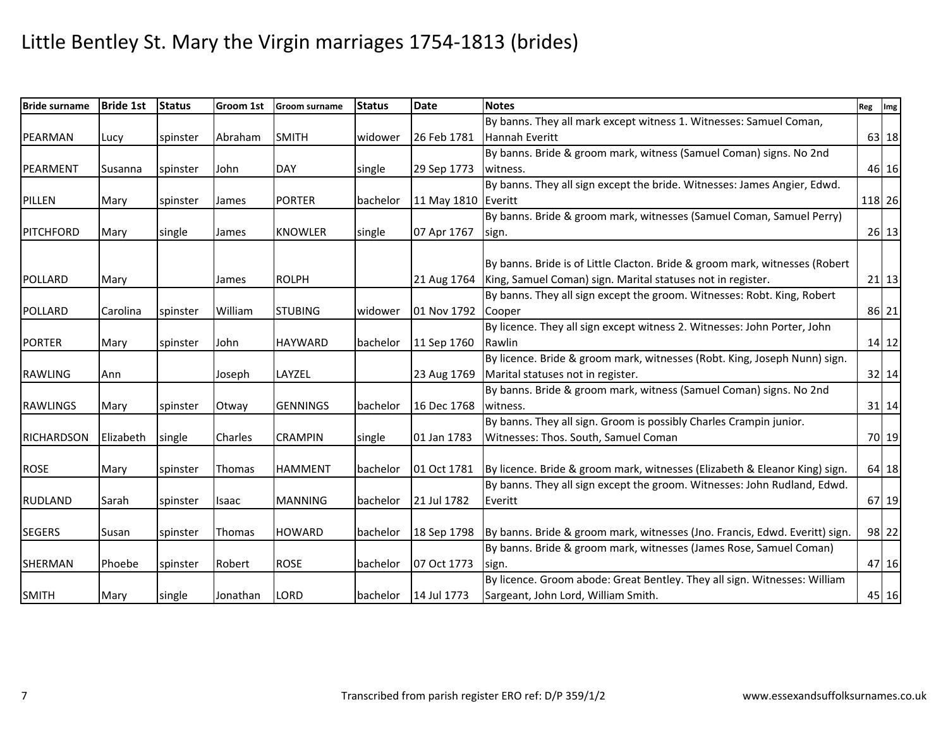| <b>Bride surname</b> | <b>Bride 1st</b> | <b>Status</b> | <b>Groom 1st</b> | <b>Groom surname</b> | <b>Status</b> | <b>Date</b>         | <b>Notes</b>                                                                | Reg   Img |
|----------------------|------------------|---------------|------------------|----------------------|---------------|---------------------|-----------------------------------------------------------------------------|-----------|
|                      |                  |               |                  |                      |               |                     | By banns. They all mark except witness 1. Witnesses: Samuel Coman,          |           |
| PEARMAN              | Lucy             | spinster      | Abraham          | <b>SMITH</b>         | widower       | 26 Feb 1781         | Hannah Everitt                                                              | 63 18     |
|                      |                  |               |                  |                      |               |                     | By banns. Bride & groom mark, witness (Samuel Coman) signs. No 2nd          |           |
| PEARMENT             | Susanna          | spinster      | John             | <b>DAY</b>           | single        | 29 Sep 1773         | witness.                                                                    | 46 16     |
|                      |                  |               |                  |                      |               |                     | By banns. They all sign except the bride. Witnesses: James Angier, Edwd.    |           |
| PILLEN               | Mary             | spinster      | James            | <b>PORTER</b>        | bachelor      | 11 May 1810 Everitt |                                                                             | 118 26    |
|                      |                  |               |                  |                      |               |                     | By banns. Bride & groom mark, witnesses (Samuel Coman, Samuel Perry)        |           |
| PITCHFORD            | Mary             | single        | James            | <b>KNOWLER</b>       | single        | 07 Apr 1767         | sign.                                                                       | 26 13     |
|                      |                  |               |                  |                      |               |                     |                                                                             |           |
|                      |                  |               |                  |                      |               |                     | By banns. Bride is of Little Clacton. Bride & groom mark, witnesses (Robert |           |
| POLLARD              | Mary             |               | James            | <b>ROLPH</b>         |               |                     | 21 Aug 1764 King, Samuel Coman) sign. Marital statuses not in register.     | $21$ 13   |
|                      |                  |               |                  |                      |               |                     | By banns. They all sign except the groom. Witnesses: Robt. King, Robert     |           |
| POLLARD              | Carolina         | spinster      | William          | <b>STUBING</b>       | widower       | 01 Nov 1792 Cooper  |                                                                             | 86 21     |
|                      |                  |               |                  |                      |               |                     | By licence. They all sign except witness 2. Witnesses: John Porter, John    |           |
| <b>PORTER</b>        | Mary             | spinster      | John             | <b>HAYWARD</b>       | bachelor      | 11 Sep 1760         | Rawlin                                                                      | $14$ 12   |
|                      |                  |               |                  |                      |               |                     | By licence. Bride & groom mark, witnesses (Robt. King, Joseph Nunn) sign.   |           |
| <b>RAWLING</b>       | Ann              |               | Joseph           | LAYZEL               |               | 23 Aug 1769         | Marital statuses not in register.                                           | 32 14     |
|                      |                  |               |                  |                      |               |                     | By banns. Bride & groom mark, witness (Samuel Coman) signs. No 2nd          |           |
| <b>RAWLINGS</b>      | Mary             | spinster      | Otway            | <b>GENNINGS</b>      | bachelor      | 16 Dec 1768         | witness.                                                                    | $31$ 14   |
|                      |                  |               |                  |                      |               |                     | By banns. They all sign. Groom is possibly Charles Crampin junior.          |           |
| <b>RICHARDSON</b>    | Elizabeth        | single        | Charles          | <b>CRAMPIN</b>       | single        | 01 Jan 1783         | Witnesses: Thos. South, Samuel Coman                                        | 70 19     |
|                      |                  |               |                  |                      |               |                     |                                                                             |           |
| <b>ROSE</b>          | Mary             | spinster      | <b>Thomas</b>    | <b>HAMMENT</b>       | bachelor      | 01 Oct 1781         | By licence. Bride & groom mark, witnesses (Elizabeth & Eleanor King) sign.  | 64 18     |
|                      |                  |               |                  |                      |               |                     | By banns. They all sign except the groom. Witnesses: John Rudland, Edwd.    |           |
| <b>RUDLAND</b>       | Sarah            | spinster      | Isaac            | <b>MANNING</b>       | bachelor      | 21 Jul 1782         | Everitt                                                                     | 67 19     |
|                      |                  |               |                  |                      |               |                     |                                                                             |           |
| <b>SEGERS</b>        | Susan            | spinster      | Thomas           | <b>HOWARD</b>        | bachelor      | 18 Sep 1798         | By banns. Bride & groom mark, witnesses (Jno. Francis, Edwd. Everitt) sign. | 98 22     |
|                      |                  |               |                  |                      |               |                     | By banns. Bride & groom mark, witnesses (James Rose, Samuel Coman)          |           |
| <b>SHERMAN</b>       | Phoebe           | spinster      | Robert           | <b>ROSE</b>          | bachelor      | 07 Oct 1773         | sign.                                                                       | 47 16     |
|                      |                  |               |                  |                      |               |                     | By licence. Groom abode: Great Bentley. They all sign. Witnesses: William   |           |
| <b>SMITH</b>         | Mary             | single        | Jonathan         | <b>LORD</b>          | bachelor      | 14 Jul 1773         | Sargeant, John Lord, William Smith.                                         | 45 16     |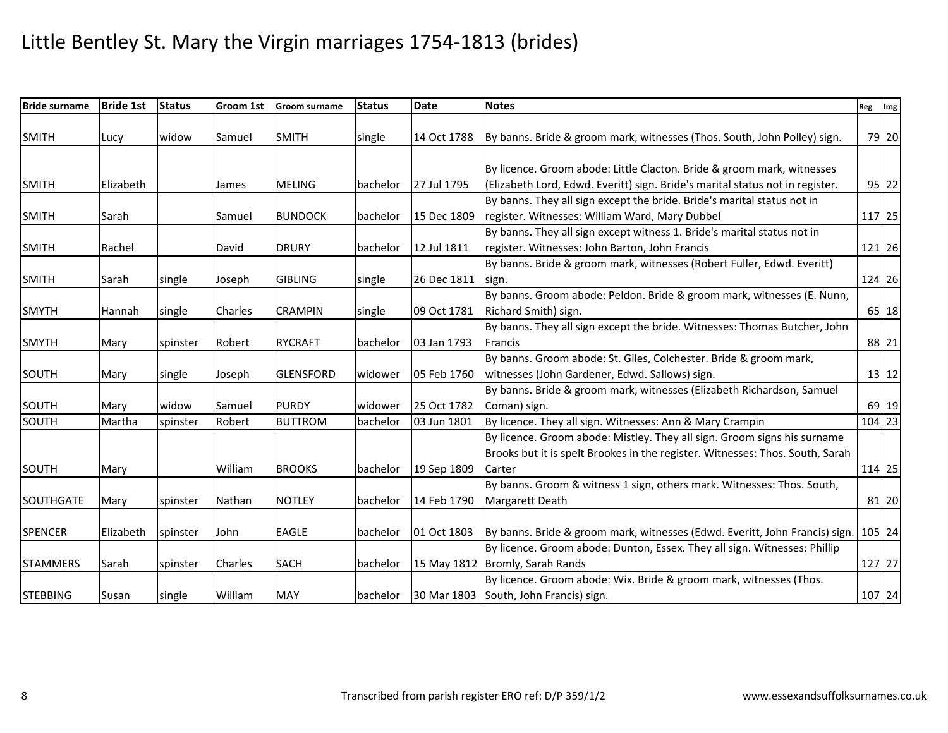| <b>Bride surname</b> | <b>Bride 1st</b> | <b>Status</b> | Groom 1st | <b>Groom surname</b> | <b>Status</b> | <b>Date</b> | <b>Notes</b>                                                                                                                                            | Reg Img |         |
|----------------------|------------------|---------------|-----------|----------------------|---------------|-------------|---------------------------------------------------------------------------------------------------------------------------------------------------------|---------|---------|
| <b>SMITH</b>         | Lucy             | widow         | Samuel    | <b>SMITH</b>         | single        | 14 Oct 1788 | By banns. Bride & groom mark, witnesses (Thos. South, John Polley) sign.                                                                                |         | 79 20   |
| <b>SMITH</b>         | Elizabeth        |               | James     | <b>MELING</b>        | bachelor      | 27 Jul 1795 | By licence. Groom abode: Little Clacton. Bride & groom mark, witnesses<br>(Elizabeth Lord, Edwd. Everitt) sign. Bride's marital status not in register. |         | $95$ 22 |
|                      |                  |               |           |                      |               |             | By banns. They all sign except the bride. Bride's marital status not in                                                                                 |         |         |
| <b>SMITH</b>         | Sarah            |               | Samuel    | <b>BUNDOCK</b>       | bachelor      | 15 Dec 1809 | register. Witnesses: William Ward, Mary Dubbel                                                                                                          | 117 25  |         |
|                      |                  |               |           |                      |               |             | By banns. They all sign except witness 1. Bride's marital status not in                                                                                 |         |         |
| <b>SMITH</b>         | Rachel           |               | David     | <b>DRURY</b>         | bachelor      | 12 Jul 1811 | register. Witnesses: John Barton, John Francis                                                                                                          | 121 26  |         |
|                      |                  |               |           |                      |               |             | By banns. Bride & groom mark, witnesses (Robert Fuller, Edwd. Everitt)                                                                                  |         |         |
| <b>SMITH</b>         | Sarah            | single        | Joseph    | <b>GIBLING</b>       | single        | 26 Dec 1811 | sign.                                                                                                                                                   | 124 26  |         |
|                      |                  |               |           |                      |               |             | By banns. Groom abode: Peldon. Bride & groom mark, witnesses (E. Nunn,                                                                                  |         |         |
| <b>SMYTH</b>         | Hannah           | single        | Charles   | <b>CRAMPIN</b>       | single        | 09 Oct 1781 | Richard Smith) sign.                                                                                                                                    |         | 65 18   |
|                      |                  |               |           |                      |               |             | By banns. They all sign except the bride. Witnesses: Thomas Butcher, John                                                                               |         |         |
| <b>SMYTH</b>         | Mary             | spinster      | Robert    | <b>RYCRAFT</b>       | bachelor      | 03 Jan 1793 | <b>Francis</b>                                                                                                                                          |         | 88 21   |
|                      |                  |               |           |                      |               |             | By banns. Groom abode: St. Giles, Colchester. Bride & groom mark,                                                                                       |         |         |
| SOUTH                | Mary             | single        | Joseph    | <b>GLENSFORD</b>     | widower       | 05 Feb 1760 | witnesses (John Gardener, Edwd. Sallows) sign.                                                                                                          |         | $13$ 12 |
|                      |                  |               |           |                      |               |             | By banns. Bride & groom mark, witnesses (Elizabeth Richardson, Samuel                                                                                   |         |         |
| SOUTH                | Mary             | widow         | Samuel    | <b>PURDY</b>         | widower       | 25 Oct 1782 | Coman) sign.                                                                                                                                            |         | 69 19   |
| SOUTH                | Martha           | spinster      | Robert    | <b>BUTTROM</b>       | bachelor      | 03 Jun 1801 | By licence. They all sign. Witnesses: Ann & Mary Crampin                                                                                                | 104 23  |         |
|                      |                  |               |           |                      |               |             | By licence. Groom abode: Mistley. They all sign. Groom signs his surname                                                                                |         |         |
|                      |                  |               |           |                      |               |             | Brooks but it is spelt Brookes in the register. Witnesses: Thos. South, Sarah                                                                           |         |         |
| SOUTH                | Mary             |               | William   | <b>BROOKS</b>        | bachelor      | 19 Sep 1809 | Carter                                                                                                                                                  | 114 25  |         |
|                      |                  |               |           |                      |               |             | By banns. Groom & witness 1 sign, others mark. Witnesses: Thos. South,                                                                                  |         |         |
| <b>SOUTHGATE</b>     | Mary             | spinster      | Nathan    | <b>NOTLEY</b>        | bachelor      | 14 Feb 1790 | Margarett Death                                                                                                                                         |         | 81 20   |
|                      |                  |               |           |                      |               |             |                                                                                                                                                         |         |         |
| <b>SPENCER</b>       | Elizabeth        | spinster      | John      | <b>EAGLE</b>         | bachelor      | 01 Oct 1803 | By banns. Bride & groom mark, witnesses (Edwd. Everitt, John Francis) sign.                                                                             | 105 24  |         |
|                      |                  |               |           |                      |               |             | By licence. Groom abode: Dunton, Essex. They all sign. Witnesses: Phillip                                                                               |         |         |
| <b>STAMMERS</b>      | Sarah            | spinster      | Charles   | <b>SACH</b>          | bachelor      |             | 15 May 1812 Bromly, Sarah Rands                                                                                                                         | 127 27  |         |
|                      |                  |               |           |                      |               |             | By licence. Groom abode: Wix. Bride & groom mark, witnesses (Thos.                                                                                      |         |         |
| <b>STEBBING</b>      | Susan            | single        | William   | <b>MAY</b>           | bachelor      |             | 30 Mar 1803 South, John Francis) sign.                                                                                                                  | 107 24  |         |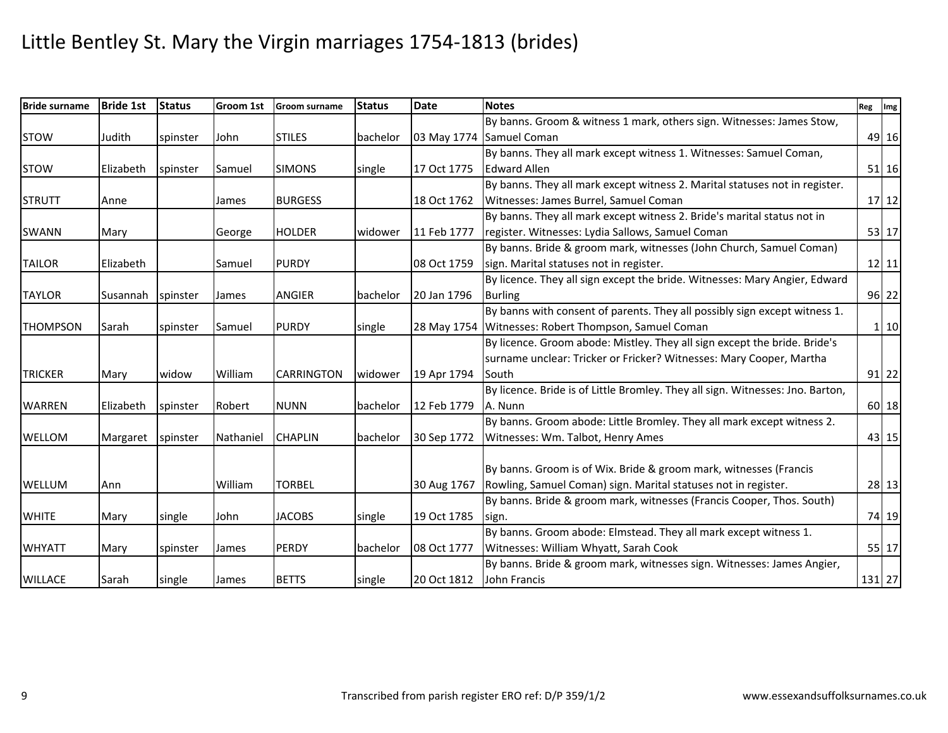| <b>Bride surname</b> | <b>Bride 1st</b> | <b>Status</b> | <b>Groom 1st</b> | <b>Groom surname</b> | <b>Status</b> | <b>Date</b> | <b>Notes</b>                                                                   | Reg Img |              |
|----------------------|------------------|---------------|------------------|----------------------|---------------|-------------|--------------------------------------------------------------------------------|---------|--------------|
|                      |                  |               |                  |                      |               |             | By banns. Groom & witness 1 mark, others sign. Witnesses: James Stow,          |         |              |
| <b>STOW</b>          | Judith           | spinster      | John             | <b>STILES</b>        | bachelor      |             | 03 May 1774 Samuel Coman                                                       |         | 49 16        |
|                      |                  |               |                  |                      |               |             | By banns. They all mark except witness 1. Witnesses: Samuel Coman,             |         |              |
| <b>STOW</b>          | Elizabeth        | spinster      | Samuel           | <b>SIMONS</b>        | single        | 17 Oct 1775 | <b>Edward Allen</b>                                                            |         | 51 16        |
|                      |                  |               |                  |                      |               |             | By banns. They all mark except witness 2. Marital statuses not in register.    |         |              |
| <b>STRUTT</b>        | Anne             |               | James            | <b>BURGESS</b>       |               | 18 Oct 1762 | Witnesses: James Burrel, Samuel Coman                                          |         | $17 12$      |
|                      |                  |               |                  |                      |               |             | By banns. They all mark except witness 2. Bride's marital status not in        |         |              |
| <b>SWANN</b>         | Mary             |               | George           | <b>HOLDER</b>        | widower       | 11 Feb 1777 | register. Witnesses: Lydia Sallows, Samuel Coman                               |         | 53 17        |
|                      |                  |               |                  |                      |               |             | By banns. Bride & groom mark, witnesses (John Church, Samuel Coman)            |         |              |
| <b>TAILOR</b>        | Elizabeth        |               | Samuel           | <b>PURDY</b>         |               | 08 Oct 1759 | sign. Marital statuses not in register.                                        |         | $12$   11    |
|                      |                  |               |                  |                      |               |             | By licence. They all sign except the bride. Witnesses: Mary Angier, Edward     |         |              |
| <b>TAYLOR</b>        | Susannah         | spinster      | James            | <b>ANGIER</b>        | bachelor      | 20 Jan 1796 | <b>Burling</b>                                                                 |         | 96 22        |
|                      |                  |               |                  |                      |               |             | By banns with consent of parents. They all possibly sign except witness 1.     |         |              |
| <b>THOMPSON</b>      | Sarah            | spinster      | Samuel           | <b>PURDY</b>         | single        |             | 28 May 1754 Witnesses: Robert Thompson, Samuel Coman                           |         | $1 \vert 10$ |
|                      |                  |               |                  |                      |               |             | By licence. Groom abode: Mistley. They all sign except the bride. Bride's      |         |              |
|                      |                  |               |                  |                      |               |             | surname unclear: Tricker or Fricker? Witnesses: Mary Cooper, Martha            |         |              |
| <b>TRICKER</b>       | Mary             | widow         | William          | <b>CARRINGTON</b>    | widower       | 19 Apr 1794 | South                                                                          |         | $91$ 22      |
|                      |                  |               |                  |                      |               |             | By licence. Bride is of Little Bromley. They all sign. Witnesses: Jno. Barton, |         |              |
| <b>WARREN</b>        | Elizabeth        | spinster      | Robert           | <b>NUNN</b>          | bachelor      | 12 Feb 1779 | A. Nunn                                                                        |         | 60 18        |
|                      |                  |               |                  |                      |               |             | By banns. Groom abode: Little Bromley. They all mark except witness 2.         |         |              |
| WELLOM               | Margaret         | spinster      | Nathaniel        | <b>CHAPLIN</b>       | bachelor      | 30 Sep 1772 | Witnesses: Wm. Talbot, Henry Ames                                              |         | 43 15        |
|                      |                  |               |                  |                      |               |             |                                                                                |         |              |
|                      |                  |               |                  |                      |               |             | By banns. Groom is of Wix. Bride & groom mark, witnesses (Francis              |         |              |
| WELLUM               | Ann              |               | William          | <b>TORBEL</b>        |               | 30 Aug 1767 | Rowling, Samuel Coman) sign. Marital statuses not in register.                 |         | 28 13        |
|                      |                  |               |                  |                      |               |             | By banns. Bride & groom mark, witnesses (Francis Cooper, Thos. South)          |         |              |
| <b>WHITE</b>         | Mary             | single        | John             | <b>JACOBS</b>        | single        | 19 Oct 1785 | sign.                                                                          |         | 74 19        |
|                      |                  |               |                  |                      |               |             | By banns. Groom abode: Elmstead. They all mark except witness 1.               |         |              |
| <b>WHYATT</b>        | Mary             | spinster      | James            | <b>PERDY</b>         | bachelor      | 08 Oct 1777 | Witnesses: William Whyatt, Sarah Cook                                          |         | 55 17        |
|                      |                  |               |                  |                      |               |             | By banns. Bride & groom mark, witnesses sign. Witnesses: James Angier,         |         |              |
| <b>WILLACE</b>       | Sarah            | single        | James            | <b>BETTS</b>         | single        | 20 Oct 1812 | John Francis                                                                   |         | 131 27       |